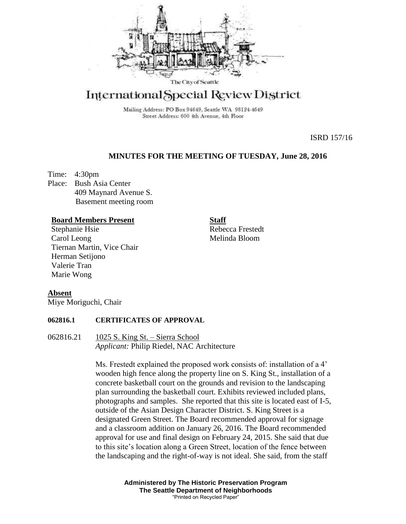

# International Special Review District

Mailing Address: PO Box 94649, Seattle WA 98124-4649 Street Address: 600 4th Avenue, 4th Floor

ISRD 157/16

# **MINUTES FOR THE MEETING OF TUESDAY, June 28, 2016**

Time: 4:30pm Place: Bush Asia Center 409 Maynard Avenue S. Basement meeting room

#### **Board Members Present**

Stephanie Hsie Carol Leong Tiernan Martin, Vice Chair Herman Setijono Valerie Tran Marie Wong

**Staff**

Rebecca Frestedt Melinda Bloom

### **Absent**

Miye Moriguchi, Chair

#### **062816.1 CERTIFICATES OF APPROVAL**

062816.21 1025 S. King St. – Sierra School *Applicant:* Philip Riedel, NAC Architecture

> Ms. Frestedt explained the proposed work consists of: installation of a 4' wooden high fence along the property line on S. King St., installation of a concrete basketball court on the grounds and revision to the landscaping plan surrounding the basketball court. Exhibits reviewed included plans, photographs and samples. She reported that this site is located east of I-5, outside of the Asian Design Character District. S. King Street is a designated Green Street. The Board recommended approval for signage and a classroom addition on January 26, 2016. The Board recommended approval for use and final design on February 24, 2015. She said that due to this site's location along a Green Street, location of the fence between the landscaping and the right-of-way is not ideal. She said, from the staff

> > **Administered by The Historic Preservation Program The Seattle Department of Neighborhoods** "Printed on Recycled Paper"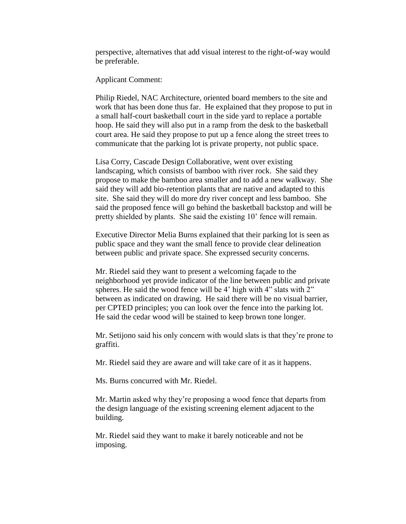perspective, alternatives that add visual interest to the right-of-way would be preferable.

Applicant Comment:

Philip Riedel, NAC Architecture, oriented board members to the site and work that has been done thus far. He explained that they propose to put in a small half-court basketball court in the side yard to replace a portable hoop. He said they will also put in a ramp from the desk to the basketball court area. He said they propose to put up a fence along the street trees to communicate that the parking lot is private property, not public space.

Lisa Corry, Cascade Design Collaborative, went over existing landscaping, which consists of bamboo with river rock. She said they propose to make the bamboo area smaller and to add a new walkway. She said they will add bio-retention plants that are native and adapted to this site. She said they will do more dry river concept and less bamboo. She said the proposed fence will go behind the basketball backstop and will be pretty shielded by plants. She said the existing 10' fence will remain.

Executive Director Melia Burns explained that their parking lot is seen as public space and they want the small fence to provide clear delineation between public and private space. She expressed security concerns.

Mr. Riedel said they want to present a welcoming façade to the neighborhood yet provide indicator of the line between public and private spheres. He said the wood fence will be 4' high with 4" slats with 2" between as indicated on drawing. He said there will be no visual barrier, per CPTED principles; you can look over the fence into the parking lot. He said the cedar wood will be stained to keep brown tone longer.

Mr. Setijono said his only concern with would slats is that they're prone to graffiti.

Mr. Riedel said they are aware and will take care of it as it happens.

Ms. Burns concurred with Mr. Riedel.

Mr. Martin asked why they're proposing a wood fence that departs from the design language of the existing screening element adjacent to the building.

Mr. Riedel said they want to make it barely noticeable and not be imposing.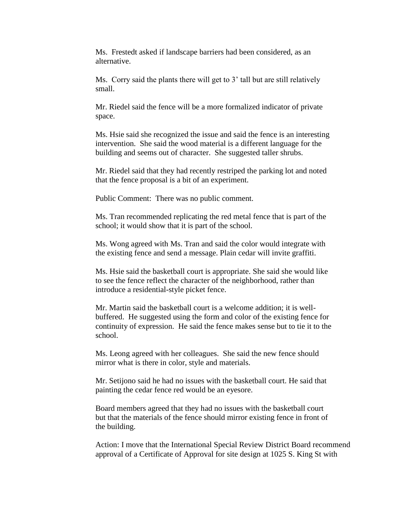Ms. Frestedt asked if landscape barriers had been considered, as an alternative.

Ms. Corry said the plants there will get to 3' tall but are still relatively small.

Mr. Riedel said the fence will be a more formalized indicator of private space.

Ms. Hsie said she recognized the issue and said the fence is an interesting intervention. She said the wood material is a different language for the building and seems out of character. She suggested taller shrubs.

Mr. Riedel said that they had recently restriped the parking lot and noted that the fence proposal is a bit of an experiment.

Public Comment: There was no public comment.

Ms. Tran recommended replicating the red metal fence that is part of the school; it would show that it is part of the school.

Ms. Wong agreed with Ms. Tran and said the color would integrate with the existing fence and send a message. Plain cedar will invite graffiti.

Ms. Hsie said the basketball court is appropriate. She said she would like to see the fence reflect the character of the neighborhood, rather than introduce a residential-style picket fence.

Mr. Martin said the basketball court is a welcome addition; it is wellbuffered. He suggested using the form and color of the existing fence for continuity of expression. He said the fence makes sense but to tie it to the school.

Ms. Leong agreed with her colleagues. She said the new fence should mirror what is there in color, style and materials.

Mr. Setijono said he had no issues with the basketball court. He said that painting the cedar fence red would be an eyesore.

Board members agreed that they had no issues with the basketball court but that the materials of the fence should mirror existing fence in front of the building.

Action: I move that the International Special Review District Board recommend approval of a Certificate of Approval for site design at 1025 S. King St with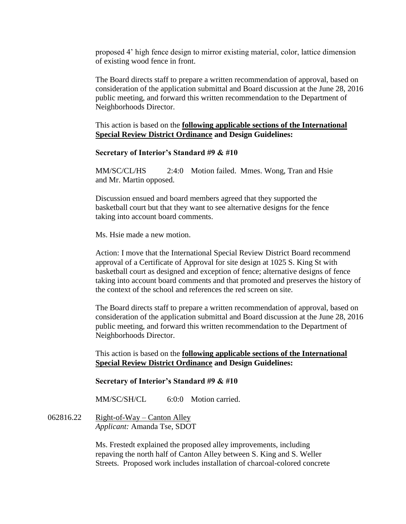proposed 4' high fence design to mirror existing material, color, lattice dimension of existing wood fence in front.

The Board directs staff to prepare a written recommendation of approval, based on consideration of the application submittal and Board discussion at the June 28, 2016 public meeting, and forward this written recommendation to the Department of Neighborhoods Director.

This action is based on the **following applicable sections of the International Special Review District Ordinance and Design Guidelines:** 

## **Secretary of Interior's Standard #9 & #10**

MM/SC/CL/HS 2:4:0 Motion failed. Mmes. Wong, Tran and Hsie and Mr. Martin opposed.

Discussion ensued and board members agreed that they supported the basketball court but that they want to see alternative designs for the fence taking into account board comments.

Ms. Hsie made a new motion.

Action: I move that the International Special Review District Board recommend approval of a Certificate of Approval for site design at 1025 S. King St with basketball court as designed and exception of fence; alternative designs of fence taking into account board comments and that promoted and preserves the history of the context of the school and references the red screen on site.

The Board directs staff to prepare a written recommendation of approval, based on consideration of the application submittal and Board discussion at the June 28, 2016 public meeting, and forward this written recommendation to the Department of Neighborhoods Director.

This action is based on the **following applicable sections of the International Special Review District Ordinance and Design Guidelines:** 

### **Secretary of Interior's Standard #9 & #10**

MM/SC/SH/CL 6:0:0 Motion carried.

 $062816.22$  Right-of-Way – Canton Alley *Applicant:* Amanda Tse, SDOT

> Ms. Frestedt explained the proposed alley improvements, including repaving the north half of Canton Alley between S. King and S. Weller Streets. Proposed work includes installation of charcoal-colored concrete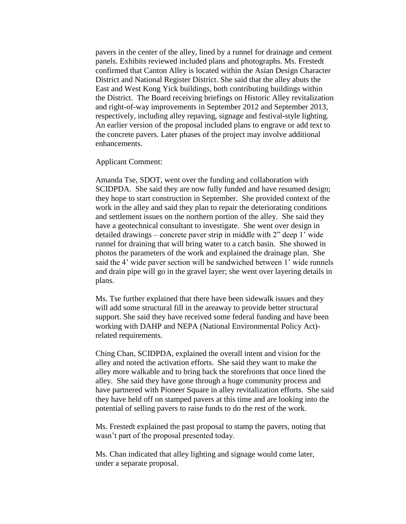pavers in the center of the alley, lined by a runnel for drainage and cement panels. Exhibits reviewed included plans and photographs. Ms. Frestedt confirmed that Canton Alley is located within the Asian Design Character District and National Register District. She said that the alley abuts the East and West Kong Yick buildings, both contributing buildings within the District. The Board receiving briefings on Historic Alley revitalization and right-of-way improvements in September 2012 and September 2013, respectively, including alley repaving, signage and festival-style lighting. An earlier version of the proposal included plans to engrave or add text to the concrete pavers. Later phases of the project may involve additional enhancements.

Applicant Comment:

Amanda Tse, SDOT, went over the funding and collaboration with SCIDPDA. She said they are now fully funded and have resumed design; they hope to start construction in September. She provided context of the work in the alley and said they plan to repair the deteriorating conditions and settlement issues on the northern portion of the alley. She said they have a geotechnical consultant to investigate. She went over design in detailed drawings – concrete paver strip in middle with 2" deep 1' wide runnel for draining that will bring water to a catch basin. She showed in photos the parameters of the work and explained the drainage plan. She said the 4' wide paver section will be sandwiched between 1' wide runnels and drain pipe will go in the gravel layer; she went over layering details in plans.

Ms. Tse further explained that there have been sidewalk issues and they will add some structural fill in the areaway to provide better structural support. She said they have received some federal funding and have been working with DAHP and NEPA (National Environmental Policy Act) related requirements.

Ching Chan, SCIDPDA, explained the overall intent and vision for the alley and noted the activation efforts. She said they want to make the alley more walkable and to bring back the storefronts that once lined the alley. She said they have gone through a huge community process and have partnered with Pioneer Square in alley revitalization efforts. She said they have held off on stamped pavers at this time and are looking into the potential of selling pavers to raise funds to do the rest of the work.

Ms. Frestedt explained the past proposal to stamp the pavers, noting that wasn't part of the proposal presented today.

Ms. Chan indicated that alley lighting and signage would come later, under a separate proposal.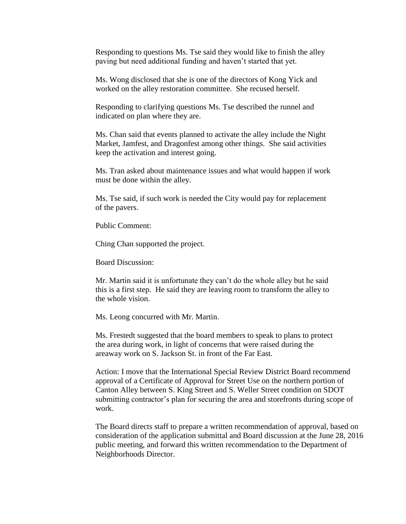Responding to questions Ms. Tse said they would like to finish the alley paving but need additional funding and haven't started that yet.

Ms. Wong disclosed that she is one of the directors of Kong Yick and worked on the alley restoration committee. She recused herself.

Responding to clarifying questions Ms. Tse described the runnel and indicated on plan where they are.

Ms. Chan said that events planned to activate the alley include the Night Market, Jamfest, and Dragonfest among other things. She said activities keep the activation and interest going.

Ms. Tran asked about maintenance issues and what would happen if work must be done within the alley.

Ms. Tse said, if such work is needed the City would pay for replacement of the pavers.

Public Comment:

Ching Chan supported the project.

Board Discussion:

Mr. Martin said it is unfortunate they can't do the whole alley but he said this is a first step. He said they are leaving room to transform the alley to the whole vision.

Ms. Leong concurred with Mr. Martin.

Ms. Frestedt suggested that the board members to speak to plans to protect the area during work, in light of concerns that were raised during the areaway work on S. Jackson St. in front of the Far East.

Action: I move that the International Special Review District Board recommend approval of a Certificate of Approval for Street Use on the northern portion of Canton Alley between S. King Street and S. Weller Street condition on SDOT submitting contractor's plan for securing the area and storefronts during scope of work.

The Board directs staff to prepare a written recommendation of approval, based on consideration of the application submittal and Board discussion at the June 28, 2016 public meeting, and forward this written recommendation to the Department of Neighborhoods Director.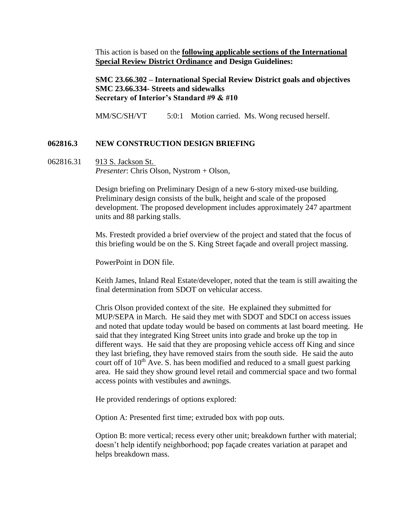This action is based on the **following applicable sections of the International Special Review District Ordinance and Design Guidelines:** 

**SMC 23.66.302 – International Special Review District goals and objectives SMC 23.66.334- Streets and sidewalks Secretary of Interior's Standard #9 & #10**

MM/SC/SH/VT 5:0:1 Motion carried. Ms. Wong recused herself.

# **062816.3 NEW CONSTRUCTION DESIGN BRIEFING**

062816.31 913 S. Jackson St. *Presenter*: Chris Olson, Nystrom + Olson,

> Design briefing on Preliminary Design of a new 6-story mixed-use building. Preliminary design consists of the bulk, height and scale of the proposed development. The proposed development includes approximately 247 apartment units and 88 parking stalls.

> Ms. Frestedt provided a brief overview of the project and stated that the focus of this briefing would be on the S. King Street façade and overall project massing.

PowerPoint in DON file.

Keith James, Inland Real Estate/developer, noted that the team is still awaiting the final determination from SDOT on vehicular access.

Chris Olson provided context of the site. He explained they submitted for MUP/SEPA in March. He said they met with SDOT and SDCI on access issues and noted that update today would be based on comments at last board meeting. He said that they integrated King Street units into grade and broke up the top in different ways. He said that they are proposing vehicle access off King and since they last briefing, they have removed stairs from the south side. He said the auto court off of  $10<sup>th</sup>$  Ave. S. has been modified and reduced to a small guest parking area. He said they show ground level retail and commercial space and two formal access points with vestibules and awnings.

He provided renderings of options explored:

Option A: Presented first time; extruded box with pop outs.

Option B: more vertical; recess every other unit; breakdown further with material; doesn't help identify neighborhood; pop façade creates variation at parapet and helps breakdown mass.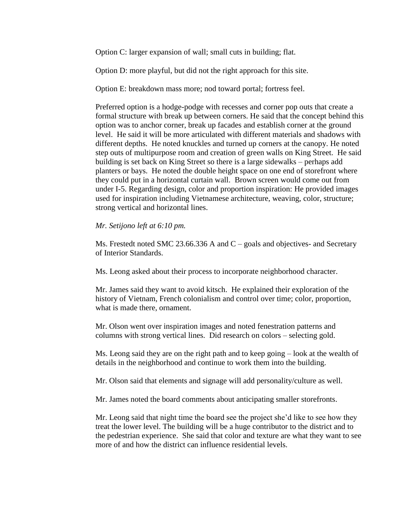Option C: larger expansion of wall; small cuts in building; flat.

Option D: more playful, but did not the right approach for this site.

Option E: breakdown mass more; nod toward portal; fortress feel.

Preferred option is a hodge-podge with recesses and corner pop outs that create a formal structure with break up between corners. He said that the concept behind this option was to anchor corner, break up facades and establish corner at the ground level. He said it will be more articulated with different materials and shadows with different depths. He noted knuckles and turned up corners at the canopy. He noted step outs of multipurpose room and creation of green walls on King Street. He said building is set back on King Street so there is a large sidewalks – perhaps add planters or bays. He noted the double height space on one end of storefront where they could put in a horizontal curtain wall. Brown screen would come out from under I-5. Regarding design, color and proportion inspiration: He provided images used for inspiration including Vietnamese architecture, weaving, color, structure; strong vertical and horizontal lines.

# *Mr. Setijono left at 6:10 pm.*

Ms. Frestedt noted SMC 23.66.336 A and  $C$  – goals and objectives- and Secretary of Interior Standards.

Ms. Leong asked about their process to incorporate neighborhood character.

Mr. James said they want to avoid kitsch. He explained their exploration of the history of Vietnam, French colonialism and control over time; color, proportion, what is made there, ornament.

Mr. Olson went over inspiration images and noted fenestration patterns and columns with strong vertical lines. Did research on colors – selecting gold.

Ms. Leong said they are on the right path and to keep going – look at the wealth of details in the neighborhood and continue to work them into the building.

Mr. Olson said that elements and signage will add personality/culture as well.

Mr. James noted the board comments about anticipating smaller storefronts.

Mr. Leong said that night time the board see the project she'd like to see how they treat the lower level. The building will be a huge contributor to the district and to the pedestrian experience. She said that color and texture are what they want to see more of and how the district can influence residential levels.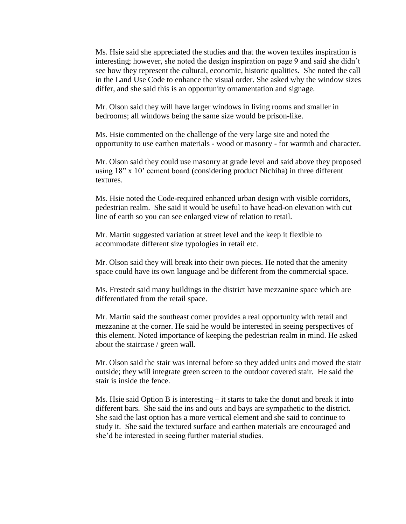Ms. Hsie said she appreciated the studies and that the woven textiles inspiration is interesting; however, she noted the design inspiration on page 9 and said she didn't see how they represent the cultural, economic, historic qualities. She noted the call in the Land Use Code to enhance the visual order. She asked why the window sizes differ, and she said this is an opportunity ornamentation and signage.

Mr. Olson said they will have larger windows in living rooms and smaller in bedrooms; all windows being the same size would be prison-like.

Ms. Hsie commented on the challenge of the very large site and noted the opportunity to use earthen materials - wood or masonry - for warmth and character.

Mr. Olson said they could use masonry at grade level and said above they proposed using 18" x 10' cement board (considering product Nichiha) in three different textures.

Ms. Hsie noted the Code-required enhanced urban design with visible corridors, pedestrian realm. She said it would be useful to have head-on elevation with cut line of earth so you can see enlarged view of relation to retail.

Mr. Martin suggested variation at street level and the keep it flexible to accommodate different size typologies in retail etc.

Mr. Olson said they will break into their own pieces. He noted that the amenity space could have its own language and be different from the commercial space.

Ms. Frestedt said many buildings in the district have mezzanine space which are differentiated from the retail space.

Mr. Martin said the southeast corner provides a real opportunity with retail and mezzanine at the corner. He said he would be interested in seeing perspectives of this element. Noted importance of keeping the pedestrian realm in mind. He asked about the staircase / green wall.

Mr. Olson said the stair was internal before so they added units and moved the stair outside; they will integrate green screen to the outdoor covered stair. He said the stair is inside the fence.

Ms. Hsie said Option B is interesting – it starts to take the donut and break it into different bars. She said the ins and outs and bays are sympathetic to the district. She said the last option has a more vertical element and she said to continue to study it. She said the textured surface and earthen materials are encouraged and she'd be interested in seeing further material studies.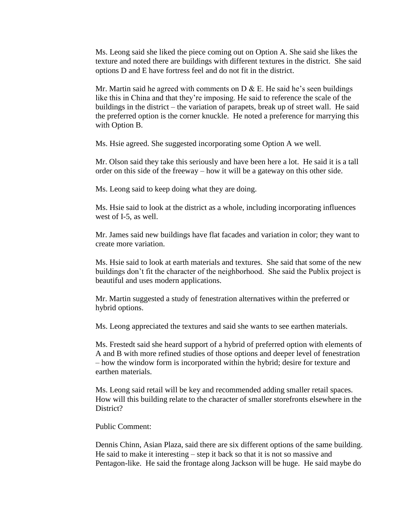Ms. Leong said she liked the piece coming out on Option A. She said she likes the texture and noted there are buildings with different textures in the district. She said options D and E have fortress feel and do not fit in the district.

Mr. Martin said he agreed with comments on  $D \& E$ . He said he's seen buildings like this in China and that they're imposing. He said to reference the scale of the buildings in the district – the variation of parapets, break up of street wall. He said the preferred option is the corner knuckle. He noted a preference for marrying this with Option B.

Ms. Hsie agreed. She suggested incorporating some Option A we well.

Mr. Olson said they take this seriously and have been here a lot. He said it is a tall order on this side of the freeway – how it will be a gateway on this other side.

Ms. Leong said to keep doing what they are doing.

Ms. Hsie said to look at the district as a whole, including incorporating influences west of I-5, as well.

Mr. James said new buildings have flat facades and variation in color; they want to create more variation.

Ms. Hsie said to look at earth materials and textures. She said that some of the new buildings don't fit the character of the neighborhood. She said the Publix project is beautiful and uses modern applications.

Mr. Martin suggested a study of fenestration alternatives within the preferred or hybrid options.

Ms. Leong appreciated the textures and said she wants to see earthen materials.

Ms. Frestedt said she heard support of a hybrid of preferred option with elements of A and B with more refined studies of those options and deeper level of fenestration – how the window form is incorporated within the hybrid; desire for texture and earthen materials.

Ms. Leong said retail will be key and recommended adding smaller retail spaces. How will this building relate to the character of smaller storefronts elsewhere in the District?

Public Comment:

Dennis Chinn, Asian Plaza, said there are six different options of the same building. He said to make it interesting – step it back so that it is not so massive and Pentagon-like. He said the frontage along Jackson will be huge. He said maybe do